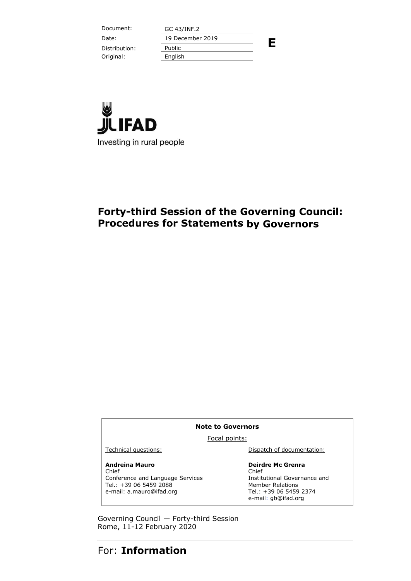Document: GC 43/INF.2 Distribution: Public Original: English

Date: 19 December 2019

**E**



# **Forty-third Session of the Governing Council: Procedures for Statements by Governors**

#### **Note to Governors**

Focal points:

#### **Andreina Mauro**

Chief Conference and Language Services Tel.: +39 06 5459 2088 e-mail: a.mauro@ifad.org

Technical questions: Dispatch of documentation:

#### **Deirdre Mc Grenra**

Chief Institutional Governance and Member Relations Tel.: +39 06 5459 2374 e-mail: gb@ifad.org

Governing Council — Forty-third Session Rome, 11-12 February 2020

# For: **Information**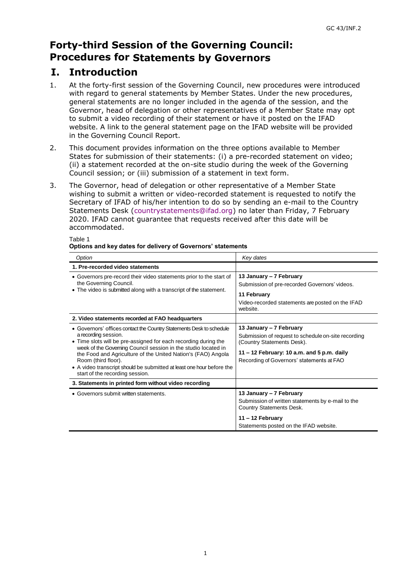# **Forty-third Session of the Governing Council: Procedures for Statements by Governors**

# **I. Introduction**

- 1. At the forty-first session of the Governing Council, new procedures were introduced with regard to general statements by Member States. Under the new procedures, general statements are no longer included in the agenda of the session, and the Governor, head of delegation or other representatives of a Member State may opt to submit a video recording of their statement or have it posted on the IFAD website. A link to the general statement page on the IFAD website will be provided in the Governing Council Report.
- 2. This document provides information on the three options available to Member States for submission of their statements: (i) a pre-recorded statement on video; (ii) a statement recorded at the on-site studio during the week of the Governing Council session; or (iii) submission of a statement in text form.
- 3. The Governor, head of delegation or other representative of a Member State wishing to submit a written or video-recorded statement is requested to notify the Secretary of IFAD of his/her intention to do so by sending an e-mail to the Country Statements Desk [\(countrystatements@ifad.org\)](mailto:countrystatements@ifad.org) no later than Friday, 7 February 2020. IFAD cannot guarantee that requests received after this date will be accommodated.

| Option                                                                                                                                                                                                                                                                                                                                                                                                                               | Key dates                                                                                                                                                                                               |
|--------------------------------------------------------------------------------------------------------------------------------------------------------------------------------------------------------------------------------------------------------------------------------------------------------------------------------------------------------------------------------------------------------------------------------------|---------------------------------------------------------------------------------------------------------------------------------------------------------------------------------------------------------|
| 1. Pre-recorded video statements                                                                                                                                                                                                                                                                                                                                                                                                     |                                                                                                                                                                                                         |
| • Governors pre-record their video statements prior to the start of<br>the Governing Council.<br>• The video is submitted along with a transcript of the statement.                                                                                                                                                                                                                                                                  | 13 January – 7 February<br>Submission of pre-recorded Governors' videos.<br>11 February<br>Video-recorded statements are posted on the IFAD<br>website.                                                 |
| 2. Video statements recorded at FAO headquarters                                                                                                                                                                                                                                                                                                                                                                                     |                                                                                                                                                                                                         |
| • Governors' offices contact the Country Statements Desk to schedule<br>a recording session.<br>• Time slots will be pre-assigned for each recording during the<br>week of the Governing Council session in the studio located in<br>the Food and Agriculture of the United Nation's (FAO) Angola<br>Room (third floor).<br>• A video transcript should be submitted at least one hour before the<br>start of the recording session. | 13 January - 7 February<br>Submission of request to schedule on-site recording<br>(Country Statements Desk).<br>11 - 12 February: 10 a.m. and 5 p.m. daily<br>Recording of Governors' statements at FAO |
| 3. Statements in printed form without video recording                                                                                                                                                                                                                                                                                                                                                                                |                                                                                                                                                                                                         |
| • Governors submit written statements.                                                                                                                                                                                                                                                                                                                                                                                               | 13 January – 7 February<br>Submission of written statements by e-mail to the<br>Country Statements Desk.<br>$11 - 12$ February                                                                          |
|                                                                                                                                                                                                                                                                                                                                                                                                                                      | Statements posted on the IFAD website.                                                                                                                                                                  |

### Table 1

#### **Options and key dates for delivery of Governors' statements**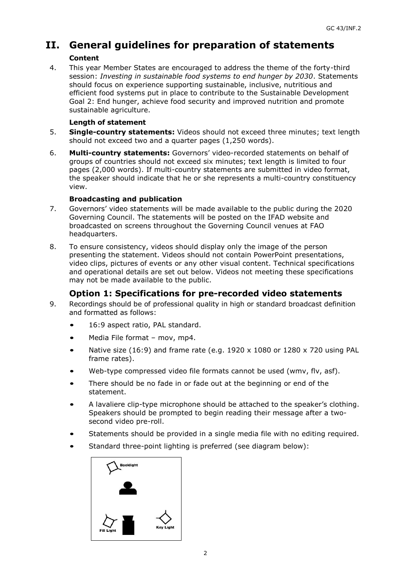## **II. General guidelines for preparation of statements Content**

4. This year Member States are encouraged to address the theme of the forty-third session: *Investing in sustainable food systems to end hunger by 2030*. Statements should focus on experience supporting sustainable, inclusive, nutritious and efficient food systems put in place to contribute to the Sustainable Development Goal 2: End hunger, achieve food security and improved nutrition and promote sustainable agriculture.

## **Length of statement**

- 5. **Single-country statements:** Videos should not exceed three minutes; text length should not exceed two and a quarter pages (1,250 words).
- 6. **Multi-country statements:** Governors' video-recorded statements on behalf of groups of countries should not exceed six minutes; text length is limited to four pages (2,000 words). If multi-country statements are submitted in video format, the speaker should indicate that he or she represents a multi-country constituency view.

### **Broadcasting and publication**

- 7. Governors' video statements will be made available to the public during the 2020 Governing Council. The statements will be posted on the IFAD website and broadcasted on screens throughout the Governing Council venues at FAO headquarters.
- 8. To ensure consistency, videos should display only the image of the person presenting the statement. Videos should not contain PowerPoint presentations, video clips, pictures of events or any other visual content. Technical specifications and operational details are set out below. Videos not meeting these specifications may not be made available to the public.

## **Option 1: Specifications for pre-recorded video statements**

- 9. Recordings should be of professional quality in high or standard broadcast definition and formatted as follows:
	- *•* 16:9 aspect ratio, PAL standard.
	- *•* Media File format mov, mp4.
	- *•* Native size (16:9) and frame rate (e.g. 1920 x 1080 or 1280 x 720 using PAL frame rates).
	- *•* Web-type compressed video file formats cannot be used (wmv, flv, asf).
	- *•* There should be no fade in or fade out at the beginning or end of the statement.
	- *•* A lavaliere clip-type microphone should be attached to the speaker's clothing. Speakers should be prompted to begin reading their message after a twosecond video pre-roll.
	- *•* Statements should be provided in a single media file with no editing required.
	- *•* Standard three-point lighting is preferred (see diagram below):

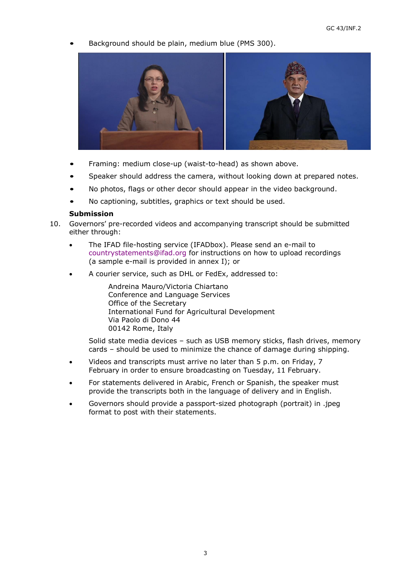*•* Background should be plain, medium blue (PMS 300).



- *•* Framing: medium close-up (waist-to-head) as shown above.
- *•* Speaker should address the camera, without looking down at prepared notes.
- *•* No photos, flags or other decor should appear in the video background.
- *•* No captioning, subtitles, graphics or text should be used.

### **Submission**

- 10. Governors' pre-recorded videos and accompanying transcript should be submitted either through:
	- The IFAD file-hosting service (IFADbox). Please send an e-mail to [countrystatements@ifad.org](mailto:countrystatements@ifad.org) for instructions on how to upload recordings (a sample e-mail is provided in annex I); or
	- A courier service, such as DHL or FedEx, addressed to:

Andreina Mauro/Victoria Chiartano Conference and Language Services Office of the Secretary International Fund for Agricultural Development Via Paolo di Dono 44 00142 Rome, Italy

Solid state media devices – such as USB memory sticks, flash drives, memory cards – should be used to minimize the chance of damage during shipping.

- Videos and transcripts must arrive no later than 5 p.m. on Friday, 7 February in order to ensure broadcasting on Tuesday, 11 February.
- For statements delivered in Arabic, French or Spanish, the speaker must provide the transcripts both in the language of delivery and in English.
- Governors should provide a passport-sized photograph (portrait) in .jpeg format to post with their statements.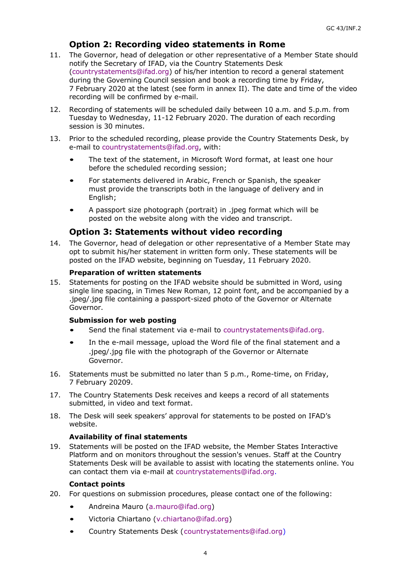## **Option 2: Recording video statements in Rome**

- 11. The Governor, head of delegation or other representative of a Member State should notify the Secretary of IFAD, via the Country Statements Desk [\(countrystatements@ifad.org\)](mailto:countrystatements@ifad.org) of his/her intention to record a general statement during the Governing Council session and book a recording time by Friday, 7 February 2020 at the latest (see form in annex II). The date and time of the video recording will be confirmed by e-mail.
- 12. Recording of statements will be scheduled daily between 10 a.m. and 5.p.m. from Tuesday to Wednesday, 11-12 February 2020. The duration of each recording session is 30 minutes.
- 13. Prior to the scheduled recording, please provide the Country Statements Desk, by e-mail to [countrystatements@ifad.org,](mailto:countrystatements@ifad.org) with:
	- The text of the statement, in Microsoft Word format, at least one hour before the scheduled recording session;
	- For statements delivered in Arabic, French or Spanish, the speaker must provide the transcripts both in the language of delivery and in English;
	- A passport size photograph (portrait) in .jpeg format which will be posted on the website along with the video and transcript.

## **Option 3: Statements without video recording**

14. The Governor, head of delegation or other representative of a Member State may opt to submit his/her statement in written form only. These statements will be posted on the [IFAD website, be](http://www.imf.org/external/am/2017/index.htm)ginning on Tuesday, 11 February 2020.

### **Preparation of written statements**

15. Statements for posting on the IFAD website should be submitted in Word, using single line spacing, in Times New Roman, 12 point font, and be accompanied by a .jpeg/.jpg file containing a passport-sized photo of the Governor or Alternate Governor.

#### **Submission for web posting**

- *•* Send the final statement via e-mail to [countrystatements@ifad.org.](mailto:countrystatements@ifad.org)
- In the e-mail message, upload the Word file of the final statement and a .jpeg/.jpg file with the photograph of the Governor or Alternate Governor.
- 16. Statements must be submitted no later than 5 p.m., Rome-time, on Friday, 7 February 20209.
- 17. The Country Statements Desk receives and keeps a record of all statements submitted, in video and text format.
- 18. The Desk will seek speakers' approval for statements to be posted on IFAD's website.

### **Availability of final statements**

19. Statements will be posted on the IFAD website, the Member States Interactive Platform and on monitors throughout the session's venues. Staff at the Country Statements Desk will be available to assist with locating the statements online. You can contact them via e-mail at [countrystatements@ifad.org.](mailto:countrystatements@ifad.org)

#### **Contact points**

- 20. For questions on submission procedures, please contact one of the following:
	- *•* Andreina Mauro [\(a.mauro@ifad.org\)](mailto:a.mauro@ifad.org)
	- *•* Victoria Chiartano [\(v.chiartano@ifad.org\)](mailto:v.chiartano@ifad.org)
	- *•* Country Statements Desk [\(countrystatements@ifad.org\)](mailto:countrystatements@ifad.org)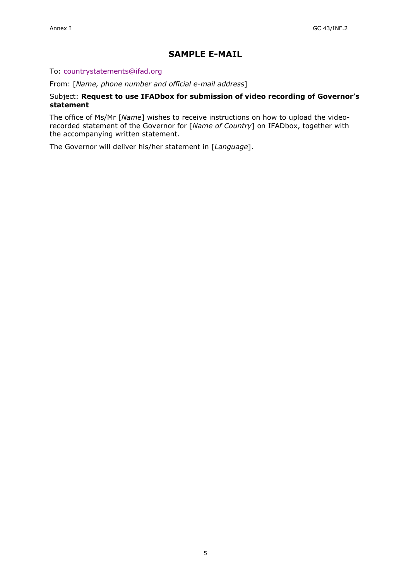## **SAMPLE E-MAIL**

#### To: [countrystatements@ifad.org](mailto:countrystatements@ifad.org)

From: [*Name, phone number and official e-mail address*]

#### Subject: **Request to use IFADbox for submission of video recording of Governor's statement**

The office of Ms/Mr [*Name*] wishes to receive instructions on how to upload the videorecorded statement of the Governor for [*Name of Country*] on IFADbox, together with the accompanying written statement.

The Governor will deliver his/her statement in [*Language*].